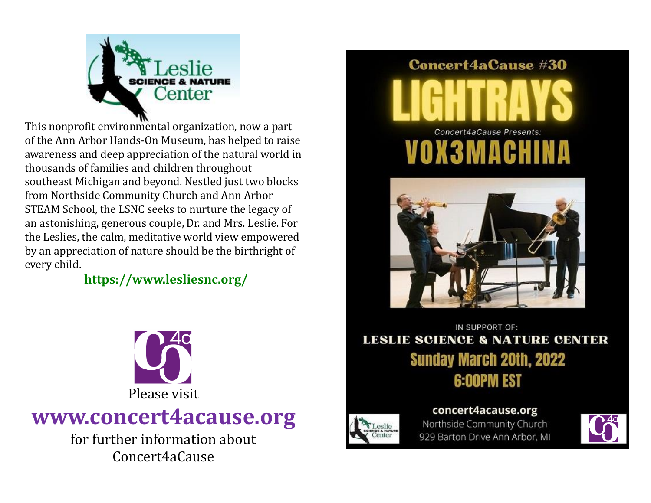

This nonprofit environmental organization, now a part of the Ann Arbor Hands-On Museum, has helped to raise awareness and deep appreciation of the natural world in thousands of families and children throughout southeast Michigan and beyond. Nestled just two blocks from Northside Community Church and Ann Arbor STEAM School, the LSNC seeks to nurture the legacy of an astonishing, generous couple, Dr. and Mrs. Leslie. For the Leslies, the calm, meditative world view empowered by an appreciation of nature should be the birthright of every child.

## **https://www.lesliesnc.org/**



## **www.concert4acause.org**

for further information about Concert4aCause

## **Concert4aCause #30**





IN SUPPORT OF: **LESLIE SCIENCE & NATURE CENTER Sunday March 20th, 2022 6:00PM EST** 



concert4acause.org Northside Community Church 929 Barton Drive Ann Arbor, MI